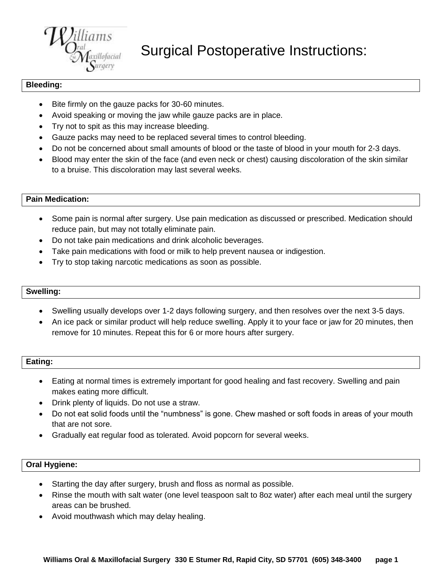

Surgical Postoperative Instructions:

## **Bleeding:**

- Bite firmly on the gauze packs for 30-60 minutes.
- Avoid speaking or moving the jaw while gauze packs are in place.
- Try not to spit as this may increase bleeding.
- Gauze packs may need to be replaced several times to control bleeding.
- Do not be concerned about small amounts of blood or the taste of blood in your mouth for 2-3 days.
- Blood may enter the skin of the face (and even neck or chest) causing discoloration of the skin similar to a bruise. This discoloration may last several weeks.

## **Pain Medication:**

- Some pain is normal after surgery. Use pain medication as discussed or prescribed. Medication should reduce pain, but may not totally eliminate pain.
- Do not take pain medications and drink alcoholic beverages.
- Take pain medications with food or milk to help prevent nausea or indigestion.
- Try to stop taking narcotic medications as soon as possible.

### **Swelling:**

- Swelling usually develops over 1-2 days following surgery, and then resolves over the next 3-5 days.
- An ice pack or similar product will help reduce swelling. Apply it to your face or jaw for 20 minutes, then remove for 10 minutes. Repeat this for 6 or more hours after surgery.

## **Eating:**

- Eating at normal times is extremely important for good healing and fast recovery. Swelling and pain makes eating more difficult.
- Drink plenty of liquids. Do not use a straw.
- Do not eat solid foods until the "numbness" is gone. Chew mashed or soft foods in areas of your mouth that are not sore.
- Gradually eat regular food as tolerated. Avoid popcorn for several weeks.

### **Oral Hygiene:**

- Starting the day after surgery, brush and floss as normal as possible.
- Rinse the mouth with salt water (one level teaspoon salt to 8oz water) after each meal until the surgery areas can be brushed.
- Avoid mouthwash which may delay healing.